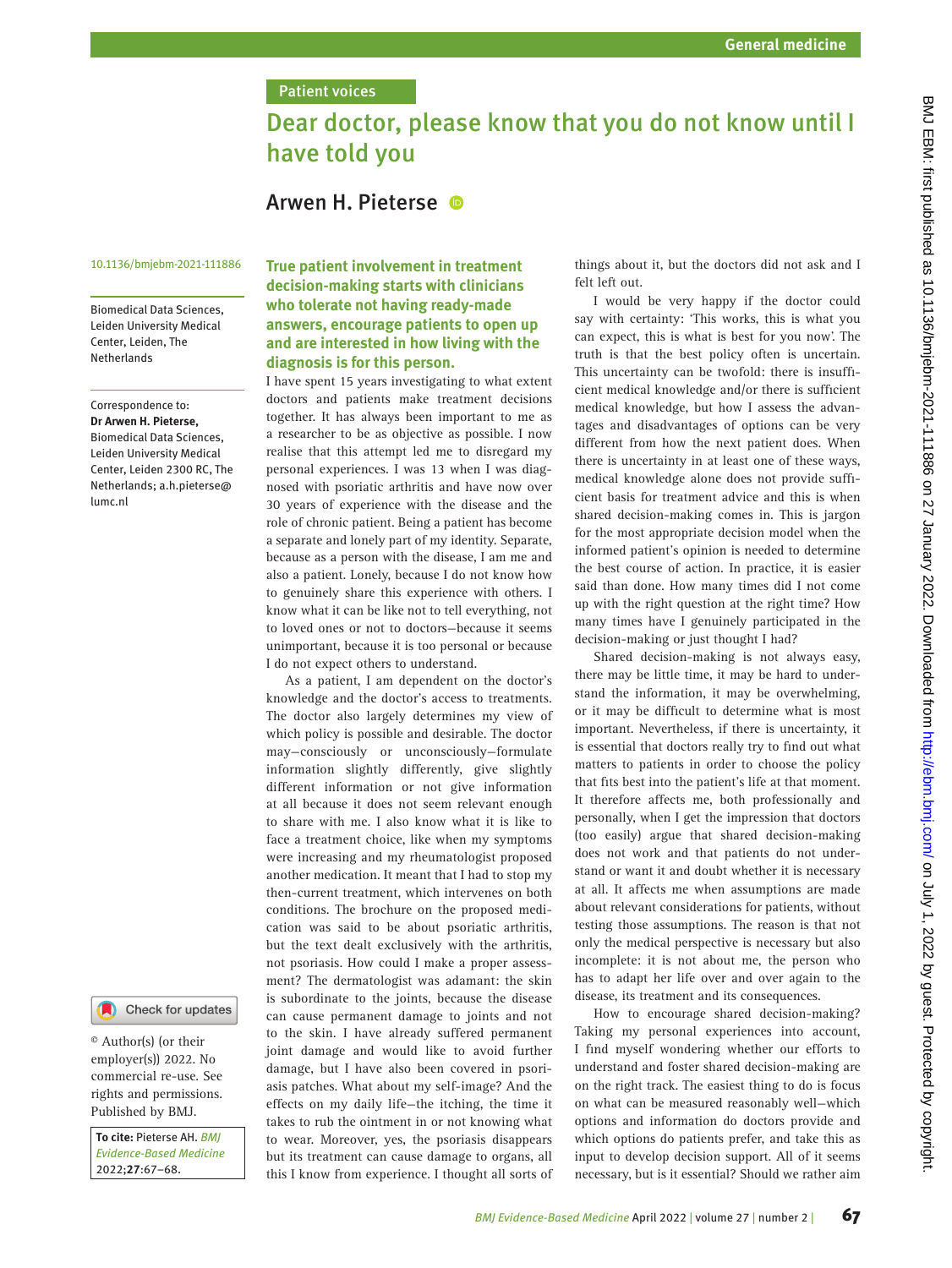## **Patient voices**

# Dear doctor, please know that you do not know until I have told you

## Arwen H. Pieterse

#### 10.1136/bmjebm-2021-111886

Biomedical Data Sciences, Leiden University Medical Center, Leiden, The Netherlands

Correspondence to: *Dr Arwen H. Pieterse,* Biomedical Data Sciences, Leiden University Medical Center, Leiden 2300 RC, The Netherlands; a.h.pieterse@ lumc.nl



© Author(s) (or their employer(s)) 2022. No commercial re-use. See rights and permissions. Published by BMJ.

*To cite:* Pieterse AH. *BMJ Evidence-Based Medicine* 2022;*27*:67–68.

### **True patient involvement in treatment decision-making starts with clinicians who tolerate not having ready-made answers, encourage patients to open up and are interested in how living with the diagnosis is for this person.**

I have spent 15 years investigating to what extent doctors and patients make treatment decisions together. It has always been important to me as a researcher to be as objective as possible. I now realise that this attempt led me to disregard my personal experiences. I was 13 when I was diagnosed with psoriatic arthritis and have now over 30 years of experience with the disease and the role of chronic patient. Being a patient has become a separate and lonely part of my identity. Separate, because as a person with the disease, I am me and also a patient. Lonely, because I do not know how to genuinely share this experience with others. I know what it can be like not to tell everything, not to loved ones or not to doctors—because it seems unimportant, because it is too personal or because I do not expect others to understand.

As a patient, I am dependent on the doctor's knowledge and the doctor's access to treatments. The doctor also largely determines my view of which policy is possible and desirable. The doctor may—consciously or unconsciously—formulate information slightly differently, give slightly different information or not give information at all because it does not seem relevant enough to share with me. I also know what it is like to face a treatment choice, like when my symptoms were increasing and my rheumatologist proposed another medication. It meant that I had to stop my then-current treatment, which intervenes on both conditions. The brochure on the proposed medication was said to be about psoriatic arthritis, but the text dealt exclusively with the arthritis, not psoriasis. How could I make a proper assessment? The dermatologist was adamant: the skin is subordinate to the joints, because the disease can cause permanent damage to joints and not to the skin. I have already suffered permanent joint damage and would like to avoid further damage, but I have also been covered in psoriasis patches. What about my self-image? And the effects on my daily life—the itching, the time it takes to rub the ointment in or not knowing what to wear. Moreover, yes, the psoriasis disappears but its treatment can cause damage to organs, all this I know from experience. I thought all sorts of things about it, but the doctors did not ask and I felt left out.

I would be very happy if the doctor could say with certainty: 'This works, this is what you can expect, this is what is best for you now'. The truth is that the best policy often is uncertain. This uncertainty can be twofold: there is insufficient medical knowledge and/or there is sufficient medical knowledge, but how I assess the advantages and disadvantages of options can be very different from how the next patient does. When there is uncertainty in at least one of these ways, medical knowledge alone does not provide sufficient basis for treatment advice and this is when shared decision-making comes in. This is jargon for the most appropriate decision model when the informed patient's opinion is needed to determine the best course of action. In practice, it is easier said than done. How many times did I not come up with the right question at the right time? How many times have I genuinely participated in the decision-making or just thought I had?

Shared decision-making is not always easy, there may be little time, it may be hard to understand the information, it may be overwhelming, or it may be difficult to determine what is most important. Nevertheless, if there is uncertainty, it is essential that doctors really try to find out what matters to patients in order to choose the policy that fits best into the patient's life at that moment. It therefore affects me, both professionally and personally, when I get the impression that doctors (too easily) argue that shared decision-making does not work and that patients do not understand or want it and doubt whether it is necessary at all. It affects me when assumptions are made about relevant considerations for patients, without testing those assumptions. The reason is that not only the medical perspective is necessary but also incomplete: it is not about me, the person who has to adapt her life over and over again to the disease, its treatment and its consequences.

How to encourage shared decision-making? Taking my personal experiences into account, I find myself wondering whether our efforts to understand and foster shared decision-making are on the right track. The easiest thing to do is focus on what can be measured reasonably well—which options and information do doctors provide and which options do patients prefer, and take this as input to develop decision support. All of it seems necessary, but is it essential? Should we rather aim